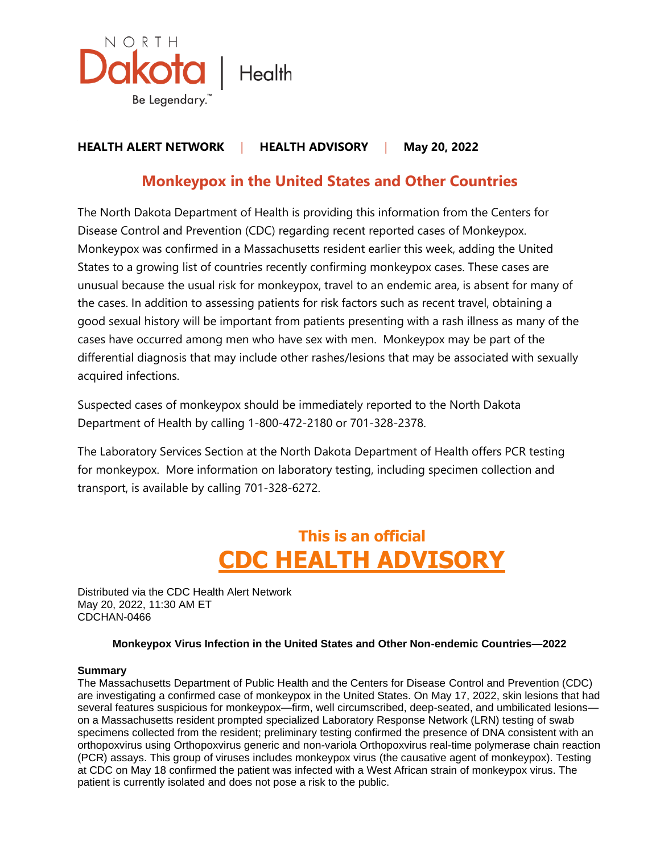

# **HEALTH ALERT NETWORK** | **HEALTH ADVISORY** | **May 20, 2022**

# **Monkeypox in the United States and Other Countries**

The North Dakota Department of Health is providing this information from the Centers for Disease Control and Prevention (CDC) regarding recent reported cases of Monkeypox. Monkeypox was confirmed in a Massachusetts resident earlier this week, adding the United States to a growing list of countries recently confirming monkeypox cases. These cases are unusual because the usual risk for monkeypox, travel to an endemic area, is absent for many of the cases. In addition to assessing patients for risk factors such as recent travel, obtaining a good sexual history will be important from patients presenting with a rash illness as many of the cases have occurred among men who have sex with men. Monkeypox may be part of the differential diagnosis that may include other rashes/lesions that may be associated with sexually acquired infections.

Suspected cases of monkeypox should be immediately reported to the North Dakota Department of Health by calling 1-800-472-2180 or 701-328-2378.

The Laboratory Services Section at the North Dakota Department of Health offers PCR testing for monkeypox. More information on laboratory testing, including specimen collection and transport, is available by calling 701-328-6272.

# **This is an official CDC HEALTH ADVISORY**

Distributed via the CDC Health Alert Network May 20, 2022, 11:30 AM ET CDCHAN-0466

# **Monkeypox Virus Infection in the United States and Other Non-endemic Countries—2022**

# **Summary**

The Massachusetts Department of Public Health and the Centers for Disease Control and Prevention (CDC) are investigating a confirmed case of monkeypox in the United States. On May 17, 2022, skin lesions that had several features suspicious for monkeypox—firm, well circumscribed, deep-seated, and umbilicated lesions on a Massachusetts resident prompted specialized Laboratory Response Network (LRN) testing of swab specimens collected from the resident; preliminary testing confirmed the presence of DNA consistent with an orthopoxvirus using Orthopoxvirus generic and non-variola Orthopoxvirus real-time polymerase chain reaction (PCR) assays. This group of viruses includes monkeypox virus (the causative agent of monkeypox). Testing at CDC on May 18 confirmed the patient was infected with a West African strain of monkeypox virus. The patient is currently isolated and does not pose a risk to the public.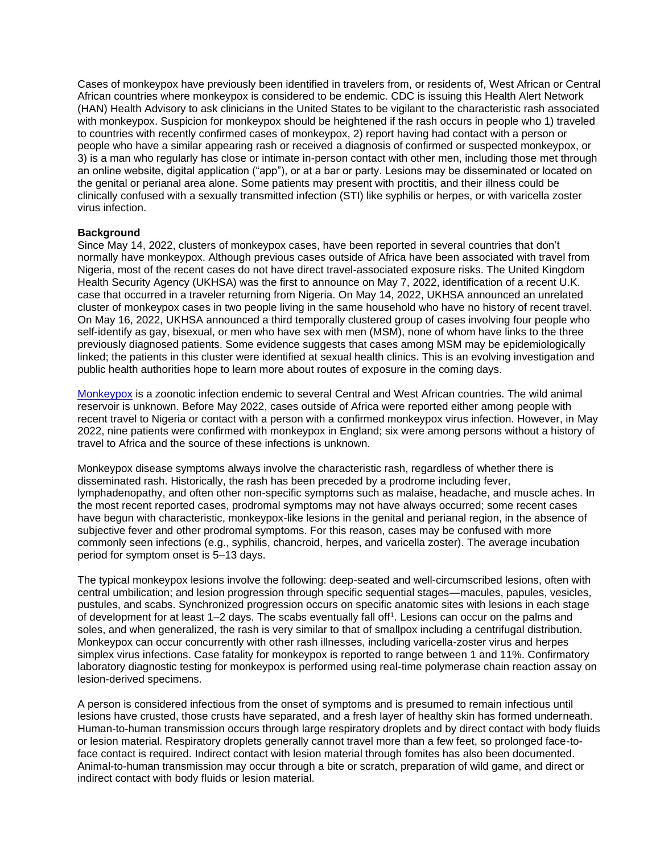Cases of monkeypox have previously been identified in travelers from, or residents of, West African or Central African countries where monkeypox is considered to be endemic. CDC is issuing this Health Alert Network (HAN) Health Advisory to ask clinicians in the United States to be vigilant to the characteristic rash associated with monkeypox. Suspicion for monkeypox should be heightened if the rash occurs in people who 1) traveled to countries with recently confirmed cases of monkeypox, 2) report having had contact with a person or people who have a similar appearing rash or received a diagnosis of confirmed or suspected monkeypox, or 3) is a man who regularly has close or intimate in-person contact with other men, including those met through an online website, digital application ("app"), or at a bar or party. Lesions may be disseminated or located on the genital or perianal area alone. Some patients may present with proctitis, and their illness could be clinically confused with a sexually transmitted infection (STI) like syphilis or herpes, or with varicella zoster virus infection.

#### **Background**

Since May 14, 2022, clusters of monkeypox cases, have been reported in several countries that don't normally have monkeypox. Although previous cases outside of Africa have been associated with travel from Nigeria, most of the recent cases do not have direct travel-associated exposure risks. The United Kingdom Health Security Agency (UKHSA) was the first to announce on May 7, 2022, identification of a recent U.K. case that occurred in a traveler returning from Nigeria. On May 14, 2022, UKHSA announced an unrelated cluster of monkeypox cases in two people living in the same household who have no history of recent travel. On May 16, 2022, UKHSA announced a third temporally clustered group of cases involving four people who self-identify as gay, bisexual, or men who have sex with men (MSM), none of whom have links to the three previously diagnosed patients. Some evidence suggests that cases among MSM may be epidemiologically linked; the patients in this cluster were identified at sexual health clinics. This is an evolving investigation and public health authorities hope to learn more about routes of exposure in the coming days.

[Monkeypox](https://gcc02.safelinks.protection.outlook.com/?url=https%3A%2F%2Fwww.cdc.gov%2Fpoxvirus%2Fmonkeypox%2F&data=05%7C01%7Ckkruger%40nd.gov%7Ccc88438b2ab148e2de5108da3a77d8fa%7C2dea0464da514a88bae2b3db94bc0c54%7C0%7C0%7C637886584093555814%7CUnknown%7CTWFpbGZsb3d8eyJWIjoiMC4wLjAwMDAiLCJQIjoiV2luMzIiLCJBTiI6Ik1haWwiLCJXVCI6Mn0%3D%7C3000%7C%7C%7C&sdata=hswHXStY3zIhgwpn7%2F%2BZ9Jw6rpBogThYjdt75mdO8P8%3D&reserved=0) is a zoonotic infection endemic to several Central and West African countries. The wild animal reservoir is unknown. Before May 2022, cases outside of Africa were reported either among people with recent travel to Nigeria or contact with a person with a confirmed monkeypox virus infection. However, in May 2022, nine patients were confirmed with monkeypox in England; six were among persons without a history of travel to Africa and the source of these infections is unknown.

Monkeypox disease symptoms always involve the characteristic rash, regardless of whether there is disseminated rash. Historically, the rash has been preceded by a prodrome including fever, lymphadenopathy, and often other non-specific symptoms such as malaise, headache, and muscle aches. In the most recent reported cases, prodromal symptoms may not have always occurred; some recent cases have begun with characteristic, monkeypox-like lesions in the genital and perianal region, in the absence of subjective fever and other prodromal symptoms. For this reason, cases may be confused with more commonly seen infections (e.g., syphilis, chancroid, herpes, and varicella zoster). The average incubation period for symptom onset is 5–13 days.

The typical monkeypox lesions involve the following: deep-seated and well-circumscribed lesions, often with central umbilication; and lesion progression through specific sequential stages—macules, papules, vesicles, pustules, and scabs. Synchronized progression occurs on specific anatomic sites with lesions in each stage of development for at least 1–2 days. The scabs eventually fall off<sup>1</sup>. Lesions can occur on the palms and soles, and when generalized, the rash is very similar to that of smallpox including a centrifugal distribution. Monkeypox can occur concurrently with other rash illnesses, including varicella-zoster virus and herpes simplex virus infections. Case fatality for monkeypox is reported to range between 1 and 11%. Confirmatory laboratory diagnostic testing for monkeypox is performed using real-time polymerase chain reaction assay on lesion-derived specimens.

A person is considered infectious from the onset of symptoms and is presumed to remain infectious until lesions have crusted, those crusts have separated, and a fresh layer of healthy skin has formed underneath. Human-to-human transmission occurs through large respiratory droplets and by direct contact with body fluids or lesion material. Respiratory droplets generally cannot travel more than a few feet, so prolonged face-toface contact is required. Indirect contact with lesion material through fomites has also been documented. Animal-to-human transmission may occur through a bite or scratch, preparation of wild game, and direct or indirect contact with body fluids or lesion material.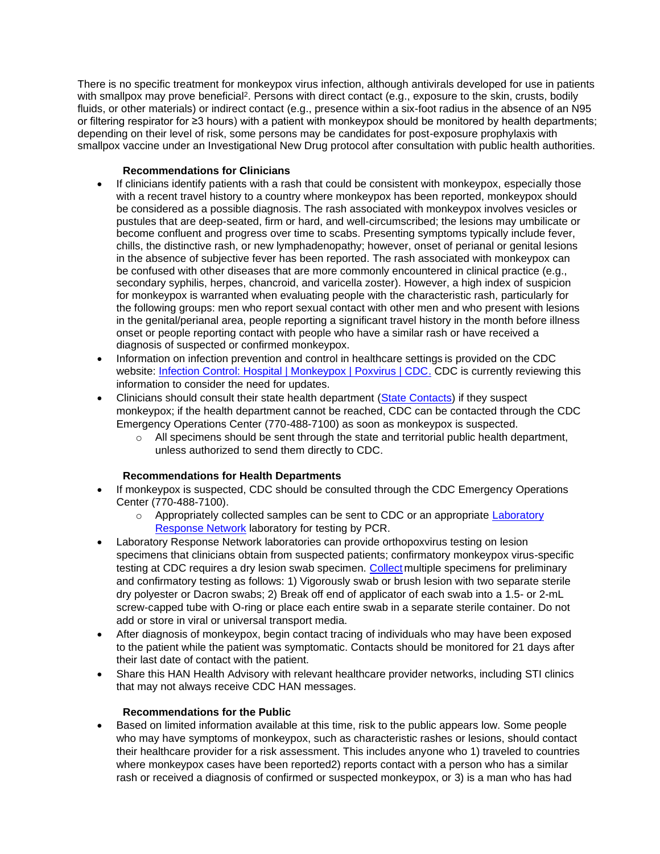There is no specific treatment for monkeypox virus infection, although antivirals developed for use in patients with smallpox may prove beneficial<sup>2</sup>. Persons with direct contact (e.g., exposure to the skin, crusts, bodily fluids, or other materials) or indirect contact (e.g., presence within a six-foot radius in the absence of an N95 or filtering respirator for ≥3 hours) with a patient with monkeypox should be monitored by health departments; depending on their level of risk, some persons may be candidates for post-exposure prophylaxis with smallpox vaccine under an Investigational New Drug protocol after consultation with public health authorities.

# **Recommendations for Clinicians**

- If clinicians identify patients with a rash that could be consistent with monkeypox, especially those with a recent travel history to a country where monkeypox has been reported, monkeypox should be considered as a possible diagnosis. The rash associated with monkeypox involves vesicles or pustules that are deep-seated, firm or hard, and well-circumscribed; the lesions may umbilicate or become confluent and progress over time to scabs. Presenting symptoms typically include fever, chills, the distinctive rash, or new lymphadenopathy; however, onset of perianal or genital lesions in the absence of subjective fever has been reported. The rash associated with monkeypox can be confused with other diseases that are more commonly encountered in clinical practice (e.g., secondary syphilis, herpes, chancroid, and varicella zoster). However, a high index of suspicion for monkeypox is warranted when evaluating people with the characteristic rash, particularly for the following groups: men who report sexual contact with other men and who present with lesions in the genital/perianal area, people reporting a significant travel history in the month before illness onset or people reporting contact with people who have a similar rash or have received a diagnosis of suspected or confirmed monkeypox.
- Information on infection prevention and control in healthcare settings is provided on the CDC website: [Infection Control: Hospital | Monkeypox | Poxvirus | CDC.](https://gcc02.safelinks.protection.outlook.com/?url=https%3A%2F%2Fwww.cdc.gov%2Fpoxvirus%2Fmonkeypox%2Fclinicians%2Finfection-control-hospital.html&data=05%7C01%7Ckkruger%40nd.gov%7Ccc88438b2ab148e2de5108da3a77d8fa%7C2dea0464da514a88bae2b3db94bc0c54%7C0%7C0%7C637886584093712018%7CUnknown%7CTWFpbGZsb3d8eyJWIjoiMC4wLjAwMDAiLCJQIjoiV2luMzIiLCJBTiI6Ik1haWwiLCJXVCI6Mn0%3D%7C3000%7C%7C%7C&sdata=jItZlIx44tvw82hykPdbmWQ67salW1uVj42Uqe%2BEMTQ%3D&reserved=0) CDC is currently reviewing this information to consider the need for updates.
- Clinicians should consult their state health department [\(State Contacts\)](https://gcc02.safelinks.protection.outlook.com/?url=https%3A%2F%2Fresources.cste.org%2Fepiafterhours&data=05%7C01%7Ckkruger%40nd.gov%7Ccc88438b2ab148e2de5108da3a77d8fa%7C2dea0464da514a88bae2b3db94bc0c54%7C0%7C0%7C637886584093712018%7CUnknown%7CTWFpbGZsb3d8eyJWIjoiMC4wLjAwMDAiLCJQIjoiV2luMzIiLCJBTiI6Ik1haWwiLCJXVCI6Mn0%3D%7C3000%7C%7C%7C&sdata=ZUf%2FAlVSmBkG%2BMgSj%2FmXTrb0F6QomBmwCUv9vM9Qnkc%3D&reserved=0) if they suspect monkeypox; if the health department cannot be reached, CDC can be contacted through the CDC Emergency Operations Center (770-488-7100) as soon as monkeypox is suspected.
	- $\circ$  All specimens should be sent through the state and territorial public health department, unless authorized to send them directly to CDC.

# **Recommendations for Health Departments**

- If monkeypox is suspected, CDC should be consulted through the CDC Emergency Operations Center (770-488-7100).
	- $\circ$  Appropriately collected samples can be sent to CDC or an appropriate Laboratory **[Response Network](https://gcc02.safelinks.protection.outlook.com/?url=https%3A%2F%2Femergency.cdc.gov%2Flrn%2Findex.asp&data=05%7C01%7Ckkruger%40nd.gov%7Ccc88438b2ab148e2de5108da3a77d8fa%7C2dea0464da514a88bae2b3db94bc0c54%7C0%7C0%7C637886584093712018%7CUnknown%7CTWFpbGZsb3d8eyJWIjoiMC4wLjAwMDAiLCJQIjoiV2luMzIiLCJBTiI6Ik1haWwiLCJXVCI6Mn0%3D%7C3000%7C%7C%7C&sdata=QXGFrmRFUxJ0DWSLKVCAmvj4od3KTQC3FUJGweXM8Oc%3D&reserved=0) laboratory for testing by PCR.**
- Laboratory Response Network laboratories can provide orthopoxvirus testing on lesion specimens that clinicians obtain from suspected patients; confirmatory monkeypox virus-specific testing at CDC requires a dry lesion swab specimen. [Collect](https://gcc02.safelinks.protection.outlook.com/?url=https%3A%2F%2Fwww.cdc.gov%2Fpoxvirus%2Fmonkeypox%2Fclinicians%2Fprep-collection-specimens.html&data=05%7C01%7Ckkruger%40nd.gov%7Ccc88438b2ab148e2de5108da3a77d8fa%7C2dea0464da514a88bae2b3db94bc0c54%7C0%7C0%7C637886584093712018%7CUnknown%7CTWFpbGZsb3d8eyJWIjoiMC4wLjAwMDAiLCJQIjoiV2luMzIiLCJBTiI6Ik1haWwiLCJXVCI6Mn0%3D%7C3000%7C%7C%7C&sdata=tSpE8d7TBKsAxcz3%2BjXQvtb8mEdOcFlgfB2CPan9Hv0%3D&reserved=0) multiple specimens for preliminary and confirmatory testing as follows: 1) Vigorously swab or brush lesion with two separate sterile dry polyester or Dacron swabs; 2) Break off end of applicator of each swab into a 1.5- or 2-mL screw-capped tube with O-ring or place each entire swab in a separate sterile container. Do not add or store in viral or universal transport media.
- After diagnosis of monkeypox, begin contact tracing of individuals who may have been exposed to the patient while the patient was symptomatic. Contacts should be monitored for 21 days after their last date of contact with the patient.
- Share this HAN Health Advisory with relevant healthcare provider networks, including STI clinics that may not always receive CDC HAN messages.

# **Recommendations for the Public**

• Based on limited information available at this time, risk to the public appears low. Some people who may have symptoms of monkeypox, such as characteristic rashes or lesions, should contact their healthcare provider for a risk assessment. This includes anyone who 1) traveled to countries where monkeypox cases have been reported2) reports contact with a person who has a similar rash or received a diagnosis of confirmed or suspected monkeypox, or 3) is a man who has had